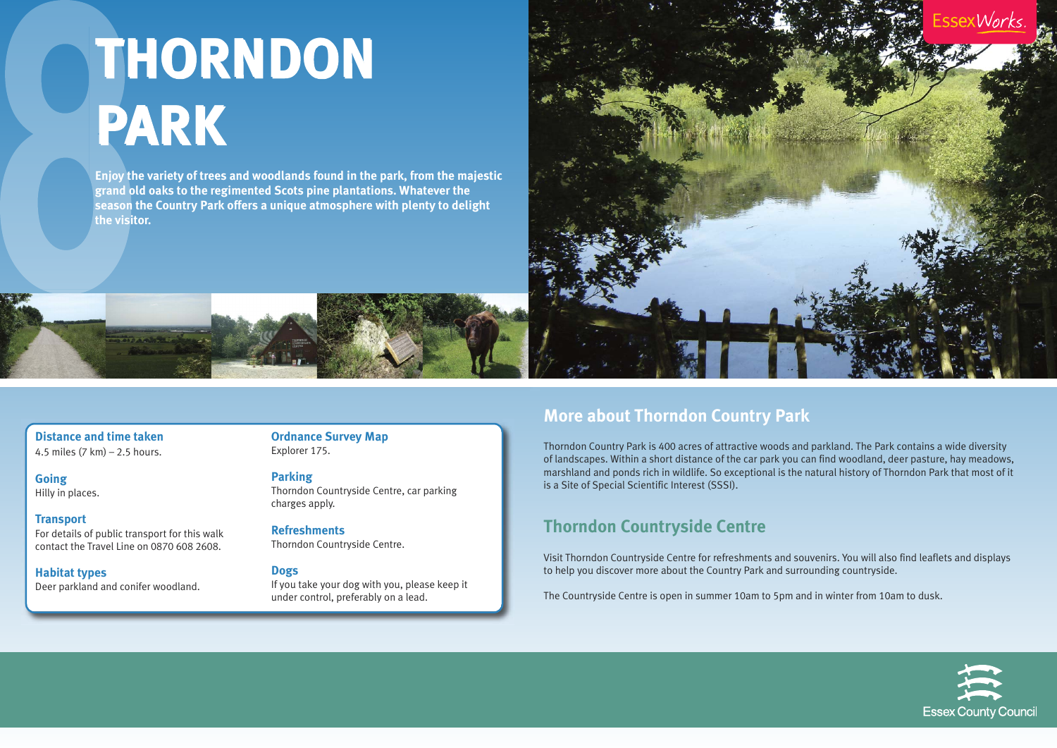**Distance and time taken** 4.5 miles (7 km) – 2.5 hours.

**Going** Hilly in places.

**Transport** For details of public transport for this walk contact the Travel Line on 0870 608 2608.

**Habitat types** Deer parkland and conifer woodland. **Ordnance Survey Map** Explorer 175.

**Parking** Thorndon Countryside Centre, car parking charges apply.

**Refreshments** Thorndon Countryside Centre.

#### **Dogs**

If you take your dog with you, please keep it under control, preferably on a lead.

### **More about Thorndon Country Park**

Thorndon Country Park is 400 acres of attractive woods and parkland. The Park contains a wide diversity of landscapes. Within a short distance of the car park you can find woodland, deer pasture, hay meadows, marshland and ponds rich in wildlife. So exceptional is the natural history of Thorndon Park that most of it is a Site of Special Scientific Interest (SSSI).

### **Thorndon Countryside Centre**

Visit Thorndon Countryside Centre for refreshments and souvenirs. You will also find leaflets and displays to help you discover more about the Country Park and surrounding countryside.

The Countryside Centre is open in summer 10am to 5pm and in winter from 10am to dusk.



# **THORNDON THORNDON PARK PARK**

**Enjoy the variety of trees and woodlands found in the park, from the majestic grand old oaks to the regimented Scots pine plantations. Whatever the season the Country Park offers a unique atmosphere with plenty to delight the visitor.**